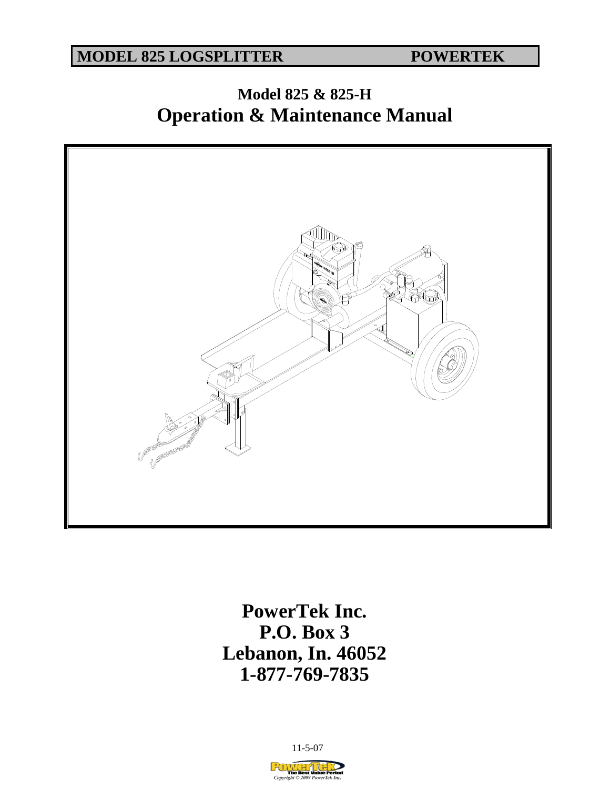**MODEL 825 LOGSPLITTER POWERTEK** 

# **Model 825 & 825-H Operation & Maintenance Manual**



**PowerTek Inc. P.O. Box 3 Lebanon, In. 46052 1-877-769-7835** 

11-5-07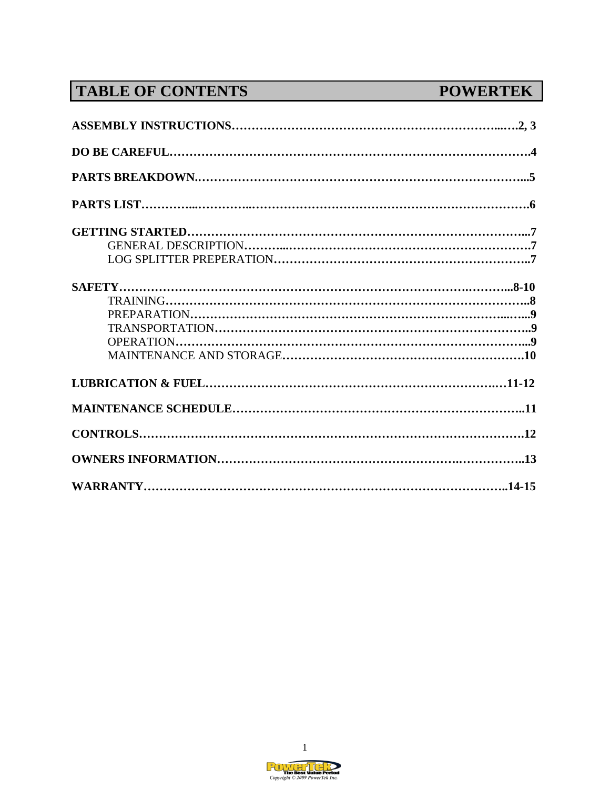# **TABLE OF CONTENTS POWERTEK**

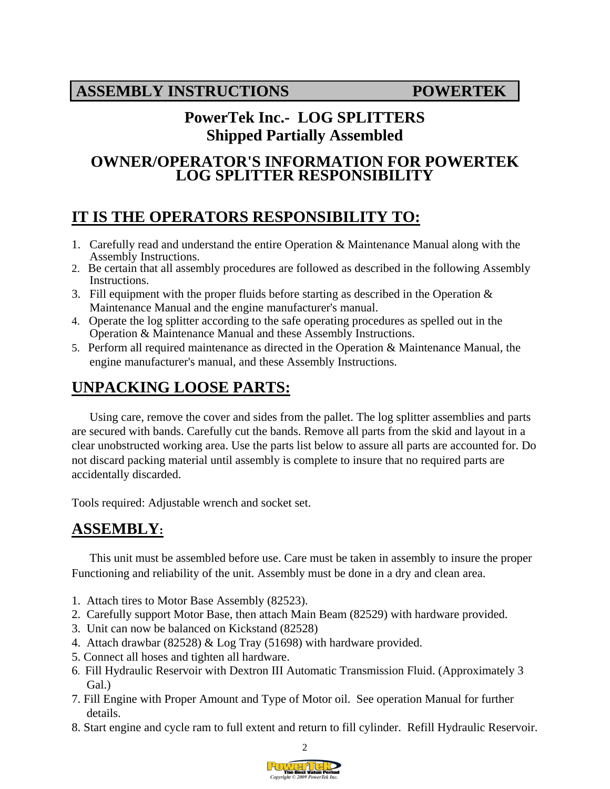# **PowerTek Inc.- LOG SPLITTERS Shipped Partially Assembled**

## **OWNER/OPERATOR'S INFORMATION FOR POWERTEK LOG SPLITTER RESPONSIBILITY**

# **IT IS THE OPERATORS RESPONSIBILITY TO:**

- 1. Carefully read and understand the entire Operation & Maintenance Manual along with the Assembly Instructions.
- 2. Be certain that all assembly procedures are followed as described in the following Assembly Instructions.
- 3. Fill equipment with the proper fluids before starting as described in the Operation  $\&$ Maintenance Manual and the engine manufacturer's manual.
- 4. Operate the log splitter according to the safe operating procedures as spelled out in the Operation & Maintenance Manual and these Assembly Instructions.
- 5. Perform all required maintenance as directed in the Operation & Maintenance Manual, the engine manufacturer's manual, and these Assembly Instructions.

# **UNPACKING LOOSE PARTS:**

Using care, remove the cover and sides from the pallet. The log splitter assemblies and parts are secured with bands. Carefully cut the bands. Remove all parts from the skid and layout in a clear unobstructed working area. Use the parts list below to assure all parts are accounted for. Do not discard packing material until assembly is complete to insure that no required parts are accidentally discarded.

Tools required: Adjustable wrench and socket set.

# **ASSEMBLY:**

This unit must be assembled before use. Care must be taken in assembly to insure the proper Functioning and reliability of the unit. Assembly must be done in a dry and clean area.

- 1. Attach tires to Motor Base Assembly (82523).
- 2. Carefully support Motor Base, then attach Main Beam (82529) with hardware provided.
- 3. Unit can now be balanced on Kickstand (82528)
- 4. Attach drawbar (82528) & Log Tray (51698) with hardware provided.
- 5. Connect all hoses and tighten all hardware.
- 6. Fill Hydraulic Reservoir with Dextron III Automatic Transmission Fluid. (Approximately 3 Gal.)
- 7. Fill Engine with Proper Amount and Type of Motor oil. See operation Manual for further details.
- 8. Start engine and cycle ram to full extent and return to fill cylinder. Refill Hydraulic Reservoir.

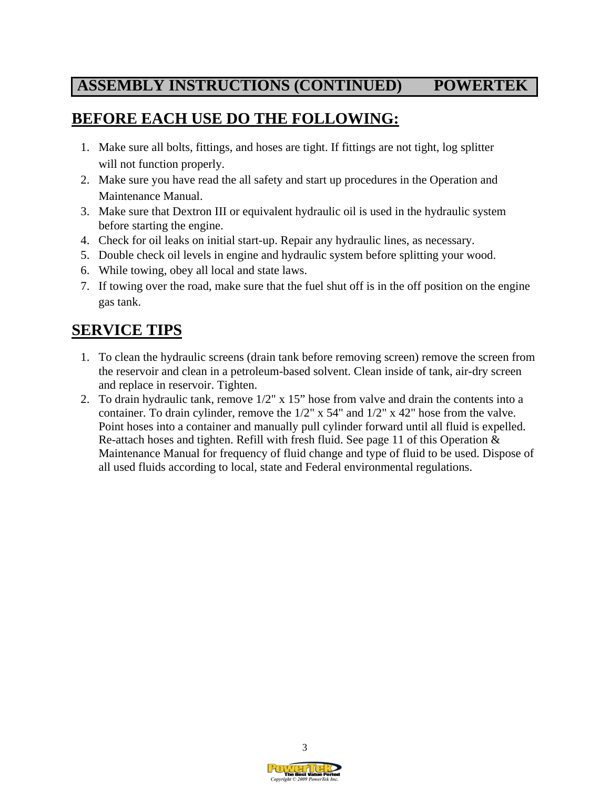# **ASSEMBLY INSTRUCTIONS (CONTINUED) POWERTEK**

# **BEFORE EACH USE DO THE FOLLOWING:**

- 1.Make sure all bolts, fittings, and hoses are tight. If fittings are not tight, log splitter will not function properly.
- 2. Make sure you have read the all safety and start up procedures in the Operation and Maintenance Manual.
- 3. Make sure that Dextron III or equivalent hydraulic oil is used in the hydraulic system before starting the engine.
- 4. Check for oil leaks on initial start-up. Repair any hydraulic lines, as necessary.
- 5. Double check oil levels in engine and hydraulic system before splitting your wood.
- 6. While towing, obey all local and state laws.
- 7. If towing over the road, make sure that the fuel shut off is in the off position on the engine gas tank.

# **SERVICE TIPS**

- 1. To clean the hydraulic screens (drain tank before removing screen) remove the screen from the reservoir and clean in a petroleum-based solvent. Clean inside of tank, air-dry screen and replace in reservoir. Tighten.
- 2. To drain hydraulic tank, remove 1/2" x 15" hose from valve and drain the contents into a container. To drain cylinder, remove the 1/2" x 54" and 1/2" x 42" hose from the valve. Point hoses into a container and manually pull cylinder forward until all fluid is expelled. Re-attach hoses and tighten. Refill with fresh fluid. See page 11 of this Operation & Maintenance Manual for frequency of fluid change and type of fluid to be used. Dispose of all used fluids according to local, state and Federal environmental regulations.

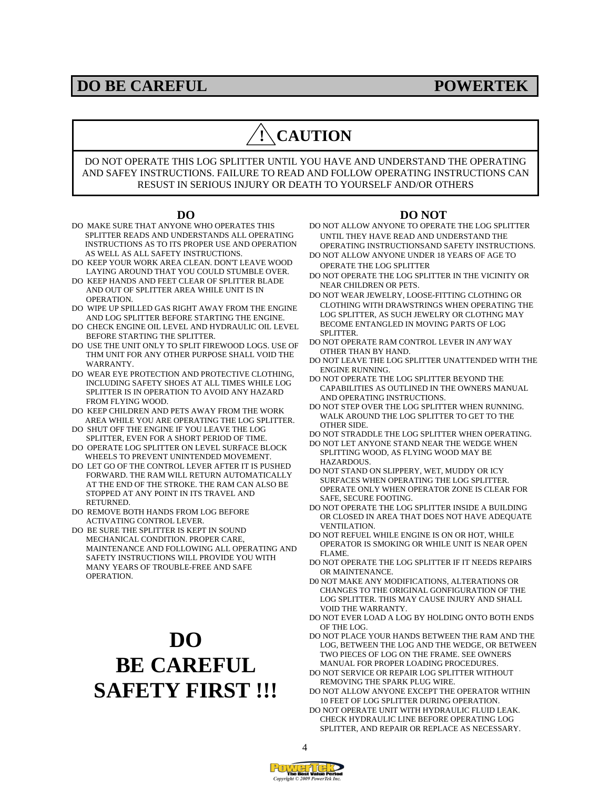### **DO BE CAREFUL POWERTEK**

# **! CAUTION**

DO NOT OPERATE THIS LOG SPLITTER UNTIL YOU HAVE AND UNDERSTAND THE OPERATING AND SAFEY INSTRUCTIONS. FAILURE TO READ AND FOLLOW OPERATING INSTRUCTIONS CAN RESUST IN SERIOUS INJURY OR DEATH TO YOURSELF AND/OR OTHERS

#### **DO**

- DO MAKE SURE THAT ANYONE WHO OPERATES THIS SPLITTER READS AND UNDERSTANDS ALL OPERATING INSTRUCTIONS AS TO ITS PROPER USE AND OPERATION AS WELL AS ALL SAFETY INSTRUCTIONS.
- DO KEEP YOUR WORK AREA CLEAN. DON'T LEAVE WOOD LAYING AROUND THAT YOU COULD STUMBLE OVER.
- DO KEEP HANDS AND FEET CLEAR OF SPLITTER BLADE AND OUT OF SPLITTER AREA WHILE UNIT IS IN OPERATION.
- DO WIPE UP SPILLED GAS RIGHT AWAY FROM THE ENGINE AND LOG SPLITTER BEFORE STARTING THE ENGINE.
- DO CHECK ENGINE OIL LEVEL AND HYDRAULIC OIL LEVEL BEFORE STARTING THE SPLITTER.
- DO USE THE UNIT ONLY TO SPLIT FIREWOOD LOGS. USE OF THM UNIT FOR ANY OTHER PURPOSE SHALL VOID THE WARRANTY.
- DO WEAR EYE PROTECTION AND PROTECTIVE CLOTHING, INCLUDING SAFETY SHOES AT ALL TIMES WHILE LOG SPLITTER IS IN OPERATION TO AVOID ANY HAZARD FROM FLYING WOOD.
- DO KEEP CHILDREN AND PETS AWAY FROM THE WORK AREA WHILE YOU ARE OPERATING THE LOG SPLITTER.
- DO SHUT OFF THE ENGINE IF YOU LEAVE THE LOG SPLITTER, EVEN FOR A SHORT PERIOD OF TIME.
- DO OPERATE LOG SPLITTER ON LEVEL SURFACE BLOCK WHEELS TO PREVENT UNINTENDED MOVEMENT.
- DO LET GO OF THE CONTROL LEVER AFTER IT IS PUSHED FORWARD. THE RAM WILL RETURN AUTOMATICALLY AT THE END OF THE STROKE. THE RAM CAN ALSO BE STOPPED AT ANY POINT IN ITS TRAVEL AND RETURNED.
- DO REMOVE BOTH HANDS FROM LOG BEFORE ACTIVATING CONTROL LEVER.
- DO BE SURE THE SPLITTER IS KEPT IN SOUND MECHANICAL CONDITION. PROPER CARE, MAINTENANCE AND FOLLOWING ALL OPERATING AND SAFETY INSTRUCTIONS WILL PROVIDE YOU WITH MANY YEARS OF TROUBLE-FREE AND SAFE OPERATION.

# **DO BE CAREFUL SAFETY FIRST !!!**

#### **DO NOT**

- DO NOT ALLOW ANYONE TO OPERATE THE LOG SPLITTER UNTIL THEY HAVE READ AND UNDERSTAND THE OPERATING INSTRUCTIONSAND SAFETY INSTRUCTIONS.
- DO NOT ALLOW ANYONE UNDER 18 YEARS OF AGE TO OPERATE THE LOG SPLITTER
- DO NOT OPERATE THE LOG SPLITTER IN THE VICINITY OR NEAR CHILDREN OR PETS.
- DO NOT WEAR JEWELRY, LOOSE-FITTING CLOTHING OR CLOTHING WITH DRAWSTRINGS WHEN OPERATING THE LOG SPLITTER, AS SUCH JEWELRY OR CLOTHNG MAY BECOME ENTANGLED IN MOVING PARTS OF LOG SPLITTER.
- DO NOT OPERATE RAM CONTROL LEVER IN *ANY* WAY OTHER THAN BY HAND.
- DO NOT LEAVE THE LOG SPLITTER UNATTENDED WITH THE ENGINE RUNNING.
- DO NOT OPERATE THE LOG SPLITTER BEYOND THE CAPABILITIES AS OUTLINED IN THE OWNERS MANUAL AND OPERATING INSTRUCTIONS.
- DO NOT STEP OVER THE LOG SPLITTER WHEN RUNNING. WALK AROUND THE LOG SPLITTER TO GET TO THE OTHER SIDE.
- DO NOT STRADDLE THE LOG SPLITTER WHEN OPERATING.
- DO NOT LET ANYONE STAND NEAR THE WEDGE WHEN SPLITTING WOOD, AS FLYING WOOD MAY BE HAZARDOUS.
- DO NOT STAND ON SLIPPERY, WET, MUDDY OR ICY SURFACES WHEN OPERATING THE LOG SPLITTER. OPERATE ONLY WHEN OPERATOR ZONE IS CLEAR FOR SAFE, SECURE FOOTING.
- DO NOT OPERATE THE LOG SPLITTER INSIDE A BUILDING OR CLOSED IN AREA THAT DOES NOT HAVE ADEQUATE VENTILATION.
- DO NOT REFUEL WHILE ENGINE IS ON OR HOT, WHILE OPERATOR IS SMOKING OR WHILE UNIT IS NEAR OPEN FLAME.
- DO NOT OPERATE THE LOG SPLITTER IF IT NEEDS REPAIRS OR MAINTENANCE.
- D0 NOT MAKE ANY MODIFICATIONS, ALTERATIONS OR CHANGES TO THE ORIGINAL GONFIGURATION OF THE LOG SPLITTER. THIS MAY CAUSE INJURY AND SHALL VOID THE WARRANTY.
- DO NOT EVER LOAD A LOG BY HOLDING ONTO BOTH ENDS OF THE LOG.
- DO NOT PLACE YOUR HANDS BETWEEN THE RAM AND THE LOG, BETWEEN THE LOG AND THE WEDGE, OR BETWEEN TWO PIECES OF LOG ON THE FRAME. SEE OWNERS MANUAL FOR PROPER LOADING PROCEDURES.
- DO NOT SERVICE OR REPAIR LOG SPLITTER WITHOUT REMOVING THE SPARK PLUG WIRE.
- DO NOT ALLOW ANYONE EXCEPT THE OPERATOR WITHIN 10 FEET OF LOG SPLITTER DURING OPERATION.
- DO NOT OPERATE UNIT WITH HYDRAULIC FLUID LEAK. CHECK HYDRAULIC LINE BEFORE OPERATING LOG SPLITTER, AND REPAIR OR REPLACE AS NECESSARY.

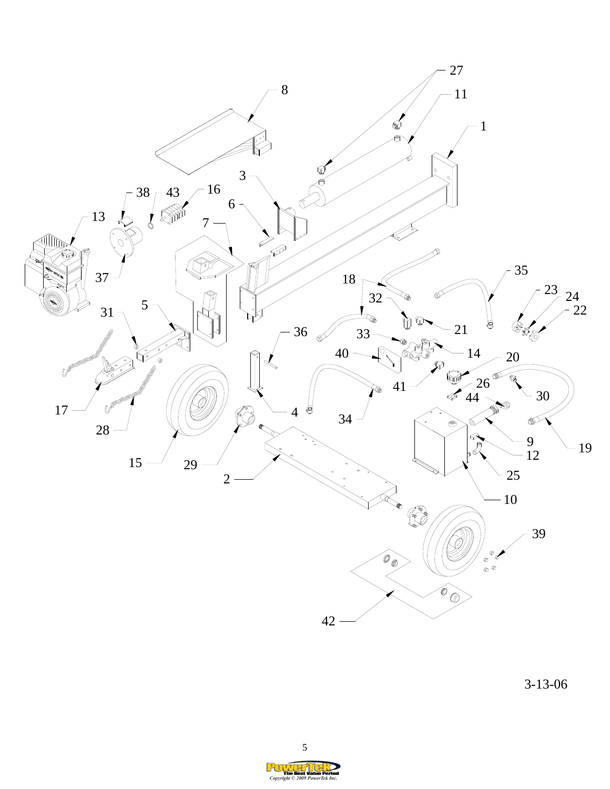

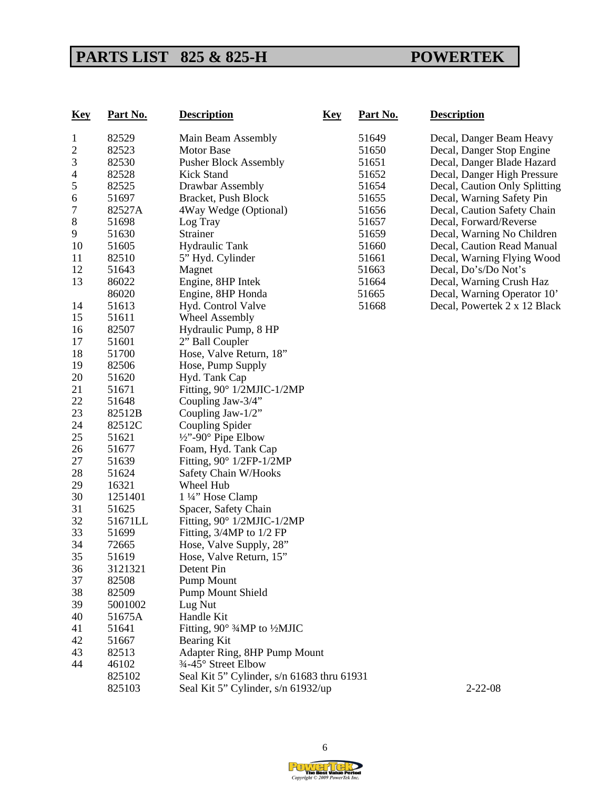# PARTS LIST 825 & 825-H POWERTEK

| <b>Key</b>     | Part No. | <b>Description</b><br><b>Key</b>           | Part No. | <b>Description</b>            |
|----------------|----------|--------------------------------------------|----------|-------------------------------|
| $\mathbf{1}$   | 82529    | Main Beam Assembly                         | 51649    | Decal, Danger Beam Heavy      |
| $\overline{c}$ | 82523    | <b>Motor Base</b>                          | 51650    | Decal, Danger Stop Engine     |
| 3              | 82530    | <b>Pusher Block Assembly</b>               | 51651    | Decal, Danger Blade Hazard    |
| $\overline{4}$ | 82528    | Kick Stand                                 | 51652    | Decal, Danger High Pressure   |
| 5              | 82525    | Drawbar Assembly                           | 51654    | Decal, Caution Only Splitting |
| 6              | 51697    | Bracket, Push Block                        | 51655    | Decal, Warning Safety Pin     |
| 7              | 82527A   | 4Way Wedge (Optional)                      | 51656    | Decal, Caution Safety Chain   |
| $\,8\,$        | 51698    | Log Tray                                   | 51657    | Decal, Forward/Reverse        |
| 9              | 51630    | Strainer                                   | 51659    | Decal, Warning No Children    |
| 10             | 51605    | <b>Hydraulic Tank</b>                      | 51660    | Decal, Caution Read Manual    |
| 11             | 82510    | 5" Hyd. Cylinder                           | 51661    | Decal, Warning Flying Wood    |
| 12             | 51643    | Magnet                                     | 51663    | Decal, Do's/Do Not's          |
| 13             | 86022    | Engine, 8HP Intek                          | 51664    | Decal, Warning Crush Haz      |
|                | 86020    | Engine, 8HP Honda                          | 51665    | Decal, Warning Operator 10'   |
| 14             | 51613    | Hyd. Control Valve                         | 51668    | Decal, Powertek 2 x 12 Black  |
| 15             | 51611    | <b>Wheel Assembly</b>                      |          |                               |
| 16             | 82507    | Hydraulic Pump, 8 HP                       |          |                               |
| 17             | 51601    | 2" Ball Coupler                            |          |                               |
| 18             | 51700    | Hose, Valve Return, 18"                    |          |                               |
| 19             | 82506    | Hose, Pump Supply                          |          |                               |
| 20             | 51620    | Hyd. Tank Cap                              |          |                               |
| 21             | 51671    | Fitting, 90° 1/2MJIC-1/2MP                 |          |                               |
| 22             | 51648    | Coupling Jaw-3/4"                          |          |                               |
| 23             | 82512B   | Coupling Jaw-1/2"                          |          |                               |
| 24             | 82512C   | Coupling Spider                            |          |                               |
| 25             | 51621    | $\frac{1}{2}$ "-90° Pipe Elbow             |          |                               |
| 26             | 51677    | Foam, Hyd. Tank Cap                        |          |                               |
| 27             | 51639    | Fitting, $90^\circ$ 1/2FP-1/2MP            |          |                               |
| 28             | 51624    | Safety Chain W/Hooks                       |          |                               |
| 29             | 16321    | Wheel Hub                                  |          |                               |
| 30             | 1251401  | 1 1/4" Hose Clamp                          |          |                               |
| 31             | 51625    | Spacer, Safety Chain                       |          |                               |
| 32             | 51671LL  | Fitting, 90° 1/2MJIC-1/2MP                 |          |                               |
| 33             | 51699    | Fitting, 3/4MP to 1/2 FP                   |          |                               |
| 34             | 72665    | Hose, Valve Supply, 28"                    |          |                               |
| 35             | 51619    | Hose, Valve Return, 15"                    |          |                               |
| 36             | 3121321  | Detent Pin                                 |          |                               |
| 37             | 82508    | Pump Mount                                 |          |                               |
| 38             | 82509    | <b>Pump Mount Shield</b>                   |          |                               |
| 39             | 5001002  | Lug Nut                                    |          |                               |
| 40             | 51675A   | Handle Kit                                 |          |                               |
| 41             | 51641    | Fitting, 90° 3⁄4MP to 1⁄2MJIC              |          |                               |
| 42             | 51667    | Bearing Kit                                |          |                               |
| 43             | 82513    | Adapter Ring, 8HP Pump Mount               |          |                               |
| 44             | 46102    | 3⁄4-45° Street Elbow                       |          |                               |
|                | 825102   | Seal Kit 5" Cylinder, s/n 61683 thru 61931 |          |                               |
|                | 825103   | Seal Kit 5" Cylinder, s/n 61932/up         |          | $2 - 22 - 08$                 |

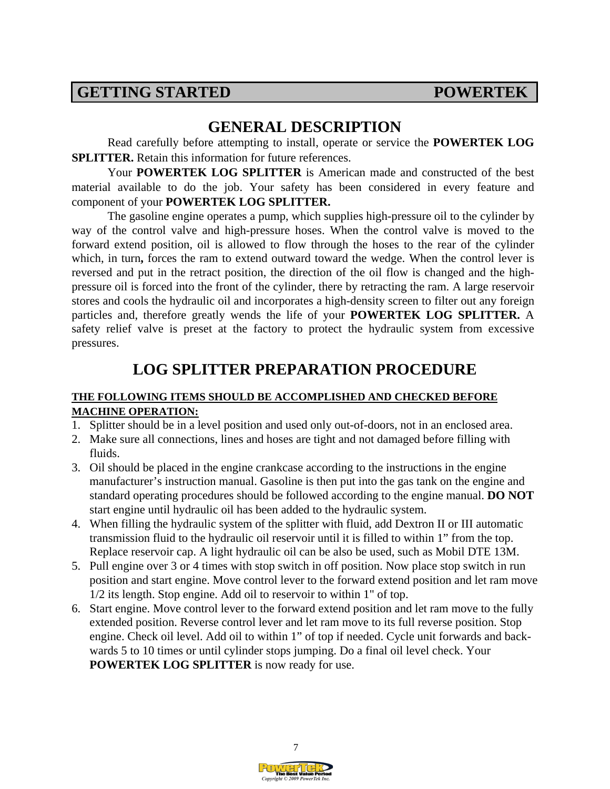## **GETTING STARTED POWERTEK**

## **GENERAL DESCRIPTION**

Read carefully before attempting to install, operate or service the **POWERTEK LOG SPLITTER.** Retain this information for future references.

Your **POWERTEK LOG SPLITTER** is American made and constructed of the best material available to do the job. Your safety has been considered in every feature and component of your **POWERTEK LOG SPLITTER.** 

The gasoline engine operates a pump, which supplies high-pressure oil to the cylinder by way of the control valve and high-pressure hoses. When the control valve is moved to the forward extend position, oil is allowed to flow through the hoses to the rear of the cylinder which, in turn, forces the ram to extend outward toward the wedge. When the control lever is reversed and put in the retract position, the direction of the oil flow is changed and the highpressure oil is forced into the front of the cylinder, there by retracting the ram. A large reservoir stores and cools the hydraulic oil and incorporates a high-density screen to filter out any foreign particles and, therefore greatly wends the life of your **POWERTEK LOG SPLITTER.** A safety relief valve is preset at the factory to protect the hydraulic system from excessive pressures.

# **LOG SPLITTER PREPARATION PROCEDURE**

#### **THE FOLLOWING ITEMS SHOULD BE ACCOMPLISHED AND CHECKED BEFORE MACHINE OPERATION:**

- 1. Splitter should be in a level position and used only out-of-doors, not in an enclosed area.
- 2. Make sure all connections, lines and hoses are tight and not damaged before filling with fluids.
- 3. Oil should be placed in the engine crankcase according to the instructions in the engine manufacturer's instruction manual. Gasoline is then put into the gas tank on the engine and standard operating procedures should be followed according to the engine manual. **DO NOT**  start engine until hydraulic oil has been added to the hydraulic system.
- 4. When filling the hydraulic system of the splitter with fluid, add Dextron II or III automatic transmission fluid to the hydraulic oil reservoir until it is filled to within 1" from the top. Replace reservoir cap. A light hydraulic oil can be also be used, such as Mobil DTE 13M.
- 5. Pull engine over 3 or 4 times with stop switch in off position. Now place stop switch in run position and start engine. Move control lever to the forward extend position and let ram move 1/2 its length. Stop engine. Add oil to reservoir to within 1" of top.
- 6. Start engine. Move control lever to the forward extend position and let ram move to the fully extended position. Reverse control lever and let ram move to its full reverse position. Stop engine. Check oil level. Add oil to within 1" of top if needed. Cycle unit forwards and backwards 5 to 10 times or until cylinder stops jumping. Do a final oil level check. Your **POWERTEK LOG SPLITTER** is now ready for use.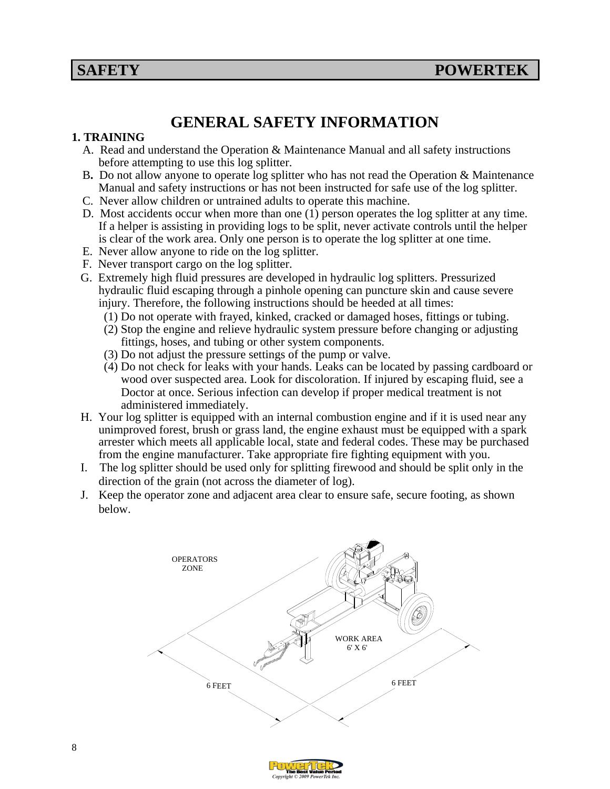# **GENERAL SAFETY INFORMATION**

#### **1. TRAINING**

- A. Read and understand the Operation & Maintenance Manual and all safety instructions before attempting to use this log splitter.
- B**.** Do not allow anyone to operate log splitter who has not read the Operation & Maintenance Manual and safety instructions or has not been instructed for safe use of the log splitter.
- C. Never allow children or untrained adults to operate this machine.
- D. Most accidents occur when more than one (1) person operates the log splitter at any time. If a helper is assisting in providing logs to be split, never activate controls until the helper is clear of the work area. Only one person is to operate the log splitter at one time.
- E. Never allow anyone to ride on the log splitter.
- F. Never transport cargo on the log splitter.
- G. Extremely high fluid pressures are developed in hydraulic log splitters. Pressurized hydraulic fluid escaping through a pinhole opening can puncture skin and cause severe injury. Therefore, the following instructions should be heeded at all times:
	- (1) Do not operate with frayed, kinked, cracked or damaged hoses, fittings or tubing.
	- (2) Stop the engine and relieve hydraulic system pressure before changing or adjusting fittings, hoses, and tubing or other system components.
	- (3) Do not adjust the pressure settings of the pump or valve.
	- (4) Do not check for leaks with your hands. Leaks can be located by passing cardboard or wood over suspected area. Look for discoloration. If injured by escaping fluid, see a Doctor at once. Serious infection can develop if proper medical treatment is not administered immediately.
- H. Your log splitter is equipped with an internal combustion engine and if it is used near any unimproved forest, brush or grass land, the engine exhaust must be equipped with a spark arrester which meets all applicable local, state and federal codes. These may be purchased from the engine manufacturer. Take appropriate fire fighting equipment with you.
- I. The log splitter should be used only for splitting firewood and should be split only in the direction of the grain (not across the diameter of log).
- J. Keep the operator zone and adjacent area clear to ensure safe, secure footing, as shown below.

![](_page_8_Figure_18.jpeg)

![](_page_8_Picture_19.jpeg)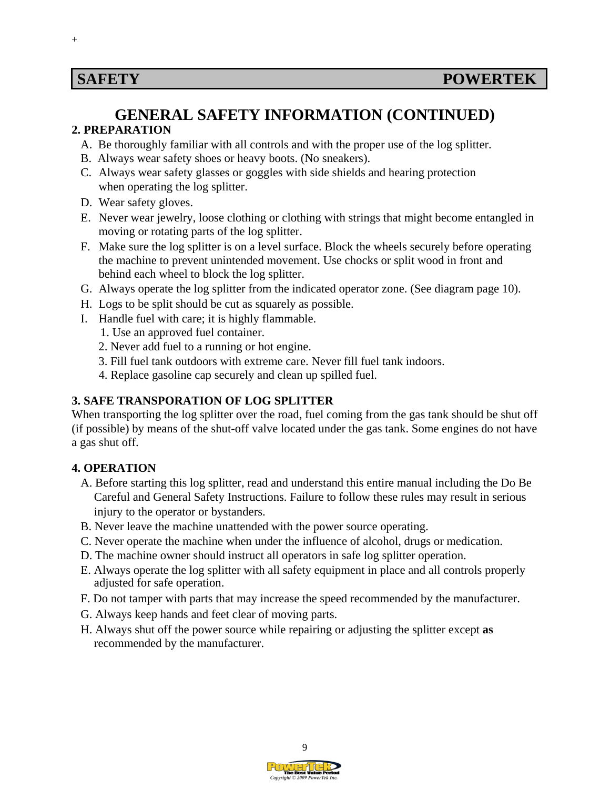$^{+}$ 

### **GENERAL SAFETY INFORMATION (CONTINUED) 2. PREPARATION**

- A. Be thoroughly familiar with all controls and with the proper use of the log splitter.
- B. Always wear safety shoes or heavy boots. (No sneakers).
- C. Always wear safety glasses or goggles with side shields and hearing protection when operating the log splitter.
- D. Wear safety gloves.
- E. Never wear jewelry, loose clothing or clothing with strings that might become entangled in moving or rotating parts of the log splitter.
- F. Make sure the log splitter is on a level surface. Block the wheels securely before operating the machine to prevent unintended movement. Use chocks or split wood in front and behind each wheel to block the log splitter.
- G. Always operate the log splitter from the indicated operator zone. (See diagram page 10).
- H. Logs to be split should be cut as squarely as possible.
- I. Handle fuel with care; it is highly flammable.
	- 1. Use an approved fuel container.
	- 2. Never add fuel to a running or hot engine.
	- 3. Fill fuel tank outdoors with extreme care. Never fill fuel tank indoors.
	- 4. Replace gasoline cap securely and clean up spilled fuel.

### **3. SAFE TRANSPORATION OF LOG SPLITTER**

When transporting the log splitter over the road, fuel coming from the gas tank should be shut off (if possible) by means of the shut-off valve located under the gas tank. Some engines do not have a gas shut off.

#### **4. OPERATION**

- A. Before starting this log splitter, read and understand this entire manual including the Do Be Careful and General Safety Instructions. Failure to follow these rules may result in serious injury to the operator or bystanders.
- B. Never leave the machine unattended with the power source operating.
- C. Never operate the machine when under the influence of alcohol, drugs or medication.
- D. The machine owner should instruct all operators in safe log splitter operation.
- E. Always operate the log splitter with all safety equipment in place and all controls properly adjusted for safe operation.
- F. Do not tamper with parts that may increase the speed recommended by the manufacturer.
- G. Always keep hands and feet clear of moving parts.
- H. Always shut off the power source while repairing or adjusting the splitter except **as**  recommended by the manufacturer.

![](_page_9_Picture_27.jpeg)

![](_page_9_Picture_28.jpeg)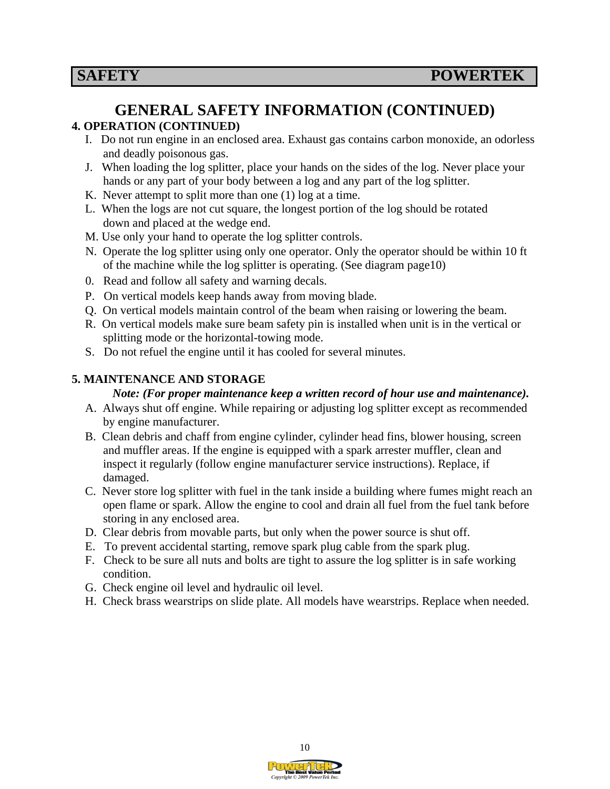### **GENERAL SAFETY INFORMATION (CONTINUED) 4. OPERATION (CONTINUED)**

- I. Do not run engine in an enclosed area. Exhaust gas contains carbon monoxide, an odorless and deadly poisonous gas.
- J. When loading the log splitter, place your hands on the sides of the log. Never place your hands or any part of your body between a log and any part of the log splitter.
- K. Never attempt to split more than one (1) log at a time.
- L. When the logs are not cut square, the longest portion of the log should be rotated down and placed at the wedge end.
- M. Use only your hand to operate the log splitter controls.
- N. Operate the log splitter using only one operator. Only the operator should be within 10 ft of the machine while the log splitter is operating. (See diagram page10)
- 0. Read and follow all safety and warning decals.
- P. On vertical models keep hands away from moving blade.
- Q. On vertical models maintain control of the beam when raising or lowering the beam.
- R. On vertical models make sure beam safety pin is installed when unit is in the vertical or splitting mode or the horizontal-towing mode.
- S. Do not refuel the engine until it has cooled for several minutes.

### **5. MAINTENANCE AND STORAGE**

#### *Note: (For proper maintenance keep a written record of hour use and maintenance).*

- A. Always shut off engine. While repairing or adjusting log splitter except as recommended by engine manufacturer.
- B. Clean debris and chaff from engine cylinder, cylinder head fins, blower housing, screen and muffler areas. If the engine is equipped with a spark arrester muffler, clean and inspect it regularly (follow engine manufacturer service instructions). Replace, if damaged.
- C. Never store log splitter with fuel in the tank inside a building where fumes might reach an open flame or spark. Allow the engine to cool and drain all fuel from the fuel tank before storing in any enclosed area.
- D. Clear debris from movable parts, but only when the power source is shut off.
- E. To prevent accidental starting, remove spark plug cable from the spark plug.
- F. Check to be sure all nuts and bolts are tight to assure the log splitter is in safe working condition.
- G. Check engine oil level and hydraulic oil level.
- H. Check brass wearstrips on slide plate. All models have wearstrips. Replace when needed.

![](_page_10_Picture_24.jpeg)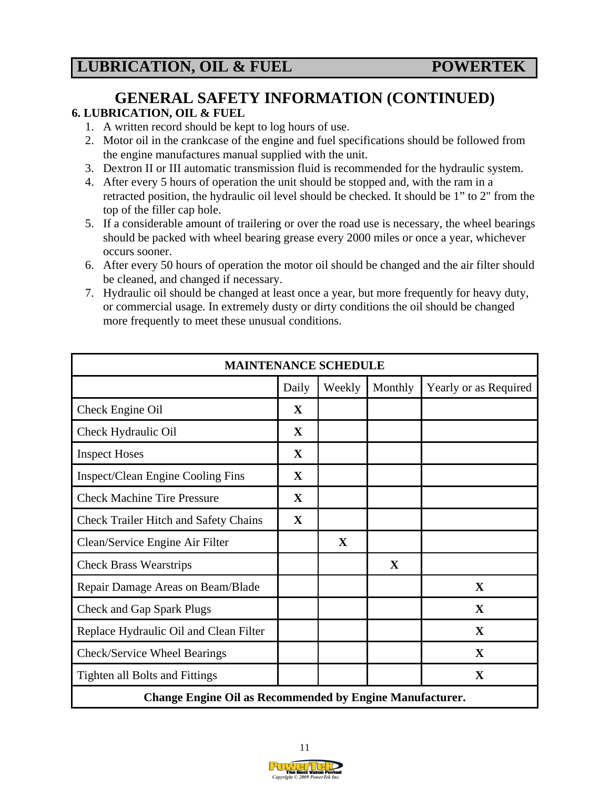# **GENERAL SAFETY INFORMATION (CONTINUED)**

### **6. LUBRICATION, OIL & FUEL**

- 1. A written record should be kept to log hours of use.
- 2. Motor oil in the crankcase of the engine and fuel specifications should be followed from the engine manufactures manual supplied with the unit.
- 3. Dextron II or III automatic transmission fluid is recommended for the hydraulic system.
- 4. After every 5 hours of operation the unit should be stopped and, with the ram in a retracted position, the hydraulic oil level should be checked. It should be 1" to 2" from the top of the filler cap hole.
- 5. If a considerable amount of trailering or over the road use is necessary, the wheel bearings should be packed with wheel bearing grease every 2000 miles or once a year, whichever occurs sooner.
- 6. After every 50 hours of operation the motor oil should be changed and the air filter should be cleaned, and changed if necessary.
- 7. Hydraulic oil should be changed at least once a year, but more frequently for heavy duty, or commercial usage. In extremely dusty or dirty conditions the oil should be changed more frequently to meet these unusual conditions.

| <b>MAINTENANCE SCHEDULE</b>                                     |              |             |         |                       |  |  |  |
|-----------------------------------------------------------------|--------------|-------------|---------|-----------------------|--|--|--|
|                                                                 | Daily        | Weekly      | Monthly | Yearly or as Required |  |  |  |
| Check Engine Oil                                                | $\mathbf X$  |             |         |                       |  |  |  |
| Check Hydraulic Oil                                             | X            |             |         |                       |  |  |  |
| <b>Inspect Hoses</b>                                            | $\mathbf{X}$ |             |         |                       |  |  |  |
| Inspect/Clean Engine Cooling Fins                               | $\mathbf X$  |             |         |                       |  |  |  |
| <b>Check Machine Tire Pressure</b>                              | $\mathbf{X}$ |             |         |                       |  |  |  |
| <b>Check Trailer Hitch and Safety Chains</b>                    | $\mathbf{X}$ |             |         |                       |  |  |  |
| Clean/Service Engine Air Filter                                 |              | $\mathbf X$ |         |                       |  |  |  |
| <b>Check Brass Wearstrips</b>                                   |              |             | X       |                       |  |  |  |
| Repair Damage Areas on Beam/Blade                               |              |             |         | $\mathbf X$           |  |  |  |
| <b>Check and Gap Spark Plugs</b>                                |              |             |         | X                     |  |  |  |
| Replace Hydraulic Oil and Clean Filter                          |              |             |         | $\mathbf{X}$          |  |  |  |
| Check/Service Wheel Bearings                                    |              |             |         | $\mathbf{X}$          |  |  |  |
| <b>Tighten all Bolts and Fittings</b>                           |              |             |         | X                     |  |  |  |
| <b>Change Engine Oil as Recommended by Engine Manufacturer.</b> |              |             |         |                       |  |  |  |

![](_page_11_Picture_13.jpeg)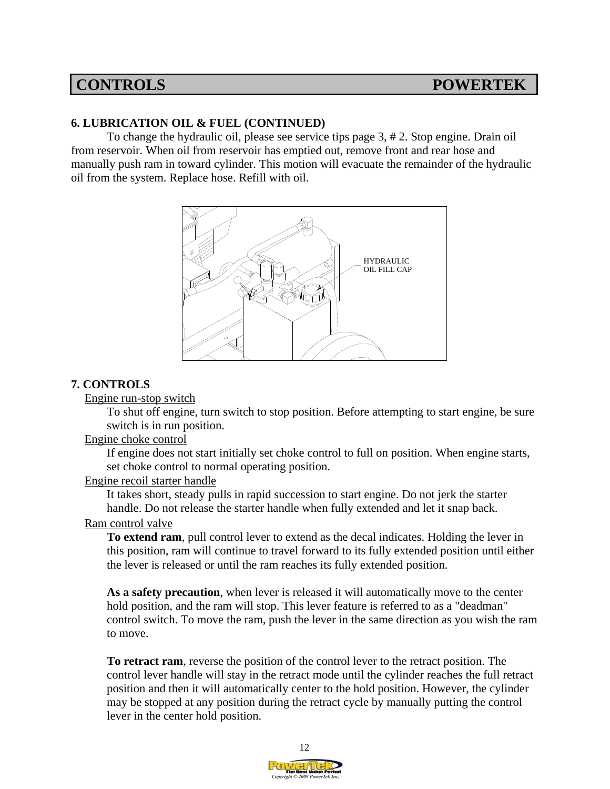#### **6. LUBRICATION OIL & FUEL (CONTINUED)**

To change the hydraulic oil, please see service tips page 3, # 2. Stop engine. Drain oil from reservoir. When oil from reservoir has emptied out, remove front and rear hose and manually push ram in toward cylinder. This motion will evacuate the remainder of the hydraulic oil from the system. Replace hose. Refill with oil.

![](_page_12_Figure_4.jpeg)

#### **7. CONTROLS**

Engine run-stop switch

To shut off engine, turn switch to stop position. Before attempting to start engine, be sure switch is in run position.

#### Engine choke control

If engine does not start initially set choke control to full on position. When engine starts, set choke control to normal operating position.

#### Engine recoil starter handle

It takes short, steady pulls in rapid succession to start engine. Do not jerk the starter handle. Do not release the starter handle when fully extended and let it snap back.

#### Ram control valve

**To extend ram**, pull control lever to extend as the decal indicates. Holding the lever in this position, ram will continue to travel forward to its fully extended position until either the lever is released or until the ram reaches its fully extended position.

**As a safety precaution**, when lever is released it will automatically move to the center hold position, and the ram will stop. This lever feature is referred to as a "deadman" control switch. To move the ram, push the lever in the same direction as you wish the ram to move.

**To retract ram**, reverse the position of the control lever to the retract position. The control lever handle will stay in the retract mode until the cylinder reaches the full retract position and then it will automatically center to the hold position. However, the cylinder may be stopped at any position during the retract cycle by manually putting the control lever in the center hold position.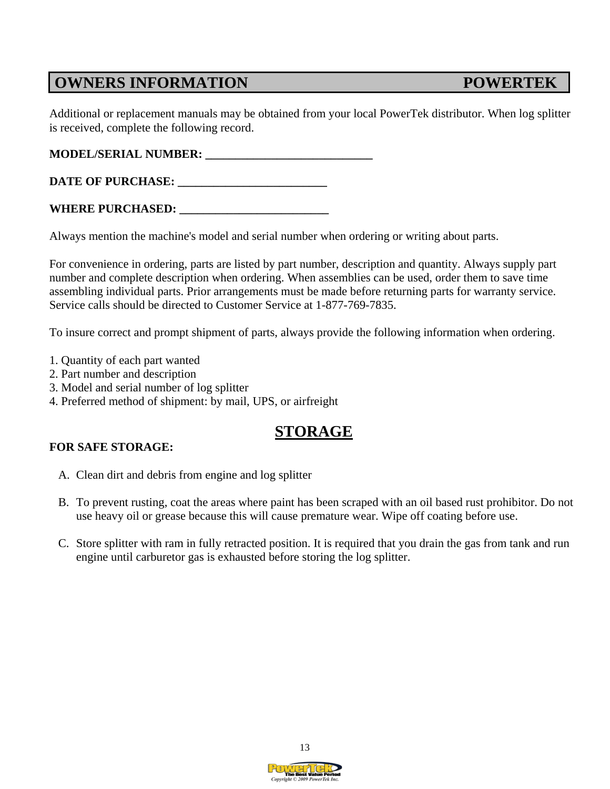## **OWNERS INFORMATION POWERTEK**

Additional or replacement manuals may be obtained from your local PowerTek distributor. When log splitter is received, complete the following record.

**MODEL/SERIAL NUMBER: \_\_\_\_\_\_\_\_\_\_\_\_\_\_\_\_\_\_\_\_\_\_\_\_\_\_\_\_** 

**DATE OF PURCHASE:** 

#### WHERE PURCHASED: \_\_\_\_\_\_\_\_\_

Always mention the machine's model and serial number when ordering or writing about parts.

For convenience in ordering, parts are listed by part number, description and quantity. Always supply part number and complete description when ordering. When assemblies can be used, order them to save time assembling individual parts. Prior arrangements must be made before returning parts for warranty service. Service calls should be directed to Customer Service at 1-877-769-7835.

To insure correct and prompt shipment of parts, always provide the following information when ordering.

- 1. Quantity of each part wanted
- 2. Part number and description
- 3. Model and serial number of log splitter
- 4. Preferred method of shipment: by mail, UPS, or airfreight

# **STORAGE**

#### **FOR SAFE STORAGE:**

- A. Clean dirt and debris from engine and log splitter
- B. To prevent rusting, coat the areas where paint has been scraped with an oil based rust prohibitor. Do not use heavy oil or grease because this will cause premature wear. Wipe off coating before use.
- C. Store splitter with ram in fully retracted position. It is required that you drain the gas from tank and run engine until carburetor gas is exhausted before storing the log splitter.

![](_page_13_Picture_18.jpeg)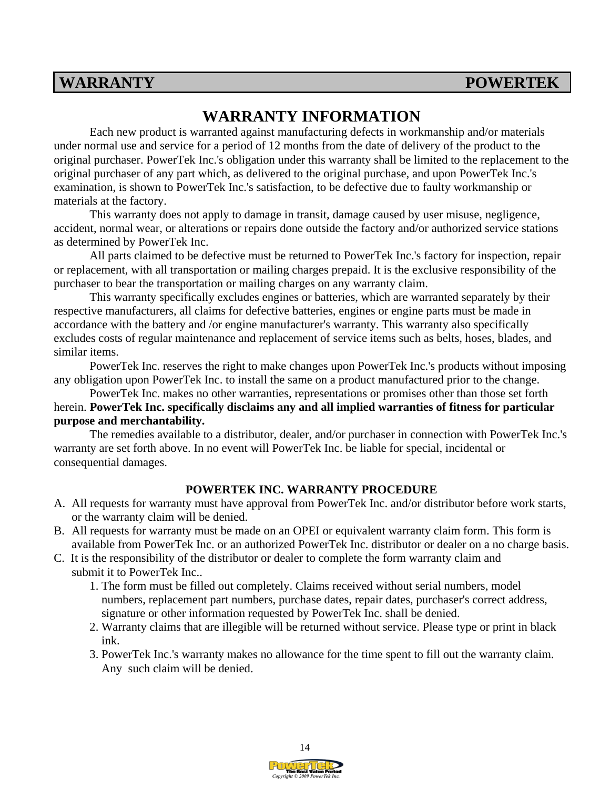## **WARRANTY POWERTEK**

# **WARRANTY INFORMATION**

 Each new product is warranted against manufacturing defects in workmanship and/or materials under normal use and service for a period of 12 months from the date of delivery of the product to the original purchaser. PowerTek Inc.'s obligation under this warranty shall be limited to the replacement to the original purchaser of any part which, as delivered to the original purchase, and upon PowerTek Inc.'s examination, is shown to PowerTek Inc.'s satisfaction, to be defective due to faulty workmanship or materials at the factory.

 This warranty does not apply to damage in transit, damage caused by user misuse, negligence, accident, normal wear, or alterations or repairs done outside the factory and/or authorized service stations as determined by PowerTek Inc.

 All parts claimed to be defective must be returned to PowerTek Inc.'s factory for inspection, repair or replacement, with all transportation or mailing charges prepaid. It is the exclusive responsibility of the purchaser to bear the transportation or mailing charges on any warranty claim.

 This warranty specifically excludes engines or batteries, which are warranted separately by their respective manufacturers, all claims for defective batteries, engines or engine parts must be made in accordance with the battery and /or engine manufacturer's warranty. This warranty also specifically excludes costs of regular maintenance and replacement of service items such as belts, hoses, blades, and similar items.

 PowerTek Inc. reserves the right to make changes upon PowerTek Inc.'s products without imposing any obligation upon PowerTek Inc. to install the same on a product manufactured prior to the change.

 PowerTek Inc. makes no other warranties, representations or promises other than those set forth herein. **PowerTek Inc. specifically disclaims any and all implied warranties of fitness for particular purpose and merchantability.**

 The remedies available to a distributor, dealer, and/or purchaser in connection with PowerTek Inc.'s warranty are set forth above. In no event will PowerTek Inc. be liable for special, incidental or consequential damages.

#### **POWERTEK INC. WARRANTY PROCEDURE**

- A. All requests for warranty must have approval from PowerTek Inc. and/or distributor before work starts, or the warranty claim will be denied.
- B. All requests for warranty must be made on an OPEI or equivalent warranty claim form. This form is available from PowerTek Inc. or an authorized PowerTek Inc. distributor or dealer on a no charge basis.
- C. It is the responsibility of the distributor or dealer to complete the form warranty claim and submit it to PowerTek Inc..
	- 1. The form must be filled out completely. Claims received without serial numbers, model numbers, replacement part numbers, purchase dates, repair dates, purchaser's correct address, signature or other information requested by PowerTek Inc. shall be denied.
	- 2. Warranty claims that are illegible will be returned without service. Please type or print in black ink.
	- 3. PowerTek Inc.'s warranty makes no allowance for the time spent to fill out the warranty claim. Any such claim will be denied.

![](_page_14_Picture_17.jpeg)